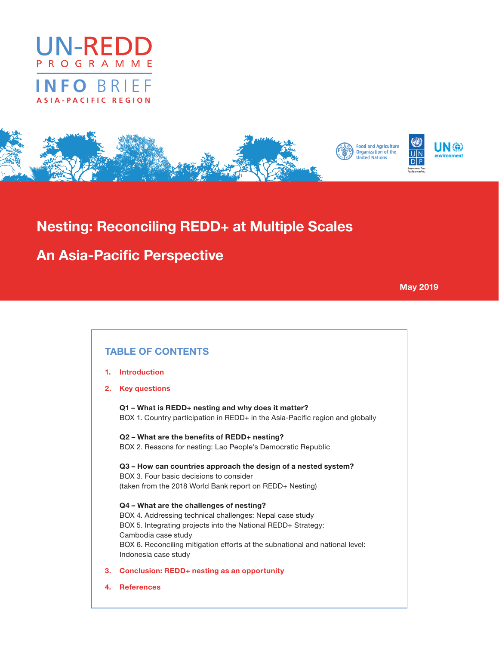





# Nesting: Reconciling REDD+ at Multiple Scales

# An Asia-Pacific Perspective

May 2019

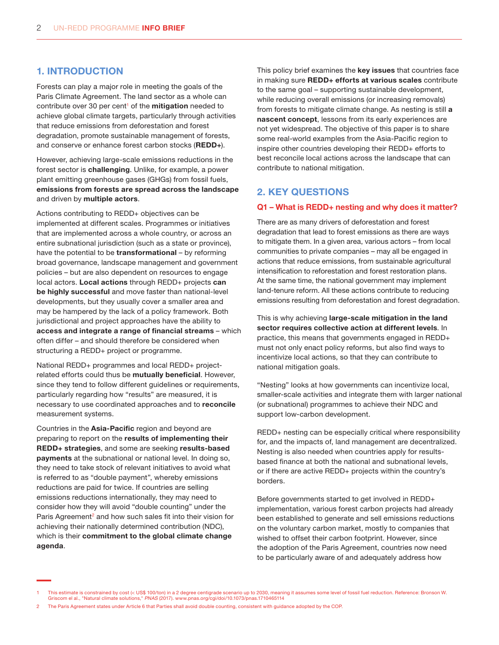## 1. INTRODUCTION

Forests can play a major role in meeting the goals of the Paris Climate Agreement. The land sector as a whole can contribute over 30 per cent<sup>1</sup> of the **mitigation** needed to achieve global climate targets, particularly through activities that reduce emissions from deforestation and forest degradation, promote sustainable management of forests, and conserve or enhance forest carbon stocks (REDD+).

However, achieving large-scale emissions reductions in the forest sector is challenging. Unlike, for example, a power plant emitting greenhouse gases (GHGs) from fossil fuels, emissions from forests are spread across the landscape and driven by multiple actors.

Actions contributing to REDD+ objectives can be implemented at different scales. Programmes or initiatives that are implemented across a whole country, or across an entire subnational jurisdiction (such as a state or province), have the potential to be transformational – by reforming broad governance, landscape management and government policies – but are also dependent on resources to engage local actors. Local actions through REDD+ projects can be highly successful and move faster than national-level developments, but they usually cover a smaller area and may be hampered by the lack of a policy framework. Both jurisdictional and project approaches have the ability to access and integrate a range of financial streams – which often differ – and should therefore be considered when structuring a REDD+ project or programme.

National REDD+ programmes and local REDD+ projectrelated efforts could thus be mutually beneficial. However, since they tend to follow different guidelines or requirements, particularly regarding how "results" are measured, it is necessary to use coordinated approaches and to reconcile measurement systems.

Countries in the Asia-Pacific region and beyond are preparing to report on the results of implementing their REDD+ strategies, and some are seeking results-based payments at the subnational or national level. In doing so, they need to take stock of relevant initiatives to avoid what is referred to as "double payment", whereby emissions reductions are paid for twice. If countries are selling emissions reductions internationally, they may need to consider how they will avoid "double counting" under the Paris Agreement<sup>2</sup> and how such sales fit into their vision for achieving their nationally determined contribution (NDC), which is their commitment to the global climate change agenda.

This policy brief examines the key issues that countries face in making sure REDD+ efforts at various scales contribute to the same goal – supporting sustainable development, while reducing overall emissions (or increasing removals) from forests to mitigate climate change. As nesting is still a nascent concept, lessons from its early experiences are not yet widespread. The objective of this paper is to share some real-world examples from the Asia-Pacific region to inspire other countries developing their REDD+ efforts to best reconcile local actions across the landscape that can contribute to national mitigation.

## 2. KEY QUESTIONS

#### Q1 – What is REDD+ nesting and why does it matter?

There are as many drivers of deforestation and forest degradation that lead to forest emissions as there are ways to mitigate them. In a given area, various actors – from local communities to private companies – may all be engaged in actions that reduce emissions, from sustainable agricultural intensification to reforestation and forest restoration plans. At the same time, the national government may implement land-tenure reform. All these actions contribute to reducing emissions resulting from deforestation and forest degradation.

This is why achieving large-scale mitigation in the land sector requires collective action at different levels. In practice, this means that governments engaged in REDD+ must not only enact policy reforms, but also find ways to incentivize local actions, so that they can contribute to national mitigation goals.

"Nesting" looks at how governments can incentivize local, smaller-scale activities and integrate them with larger national (or subnational) programmes to achieve their NDC and support low-carbon development.

REDD+ nesting can be especially critical where responsibility for, and the impacts of, land management are decentralized. Nesting is also needed when countries apply for resultsbased finance at both the national and subnational levels, or if there are active REDD+ projects within the country's borders.

Before governments started to get involved in REDD+ implementation, various forest carbon projects had already been established to generate and sell emissions reductions on the voluntary carbon market, mostly to companies that wished to offset their carbon footprint. However, since the adoption of the Paris Agreement, countries now need to be particularly aware of and adequately address how

2 The Paris Agreement states under Article 6 that Parties shall avoid double counting, consistent with guidance adopted by the COP.

This estimate is constrained by cost (< US\$ 100/ton) in a 2 degree centigrade scenario up to 2030, meaning it assumes some level of fossil fuel reduction. Reference: Bronson W. Griscom el al., "Natural climate solutions," PNAS (2017). www.pnas.org/cgi/doi/10.1073/pnas.1710465114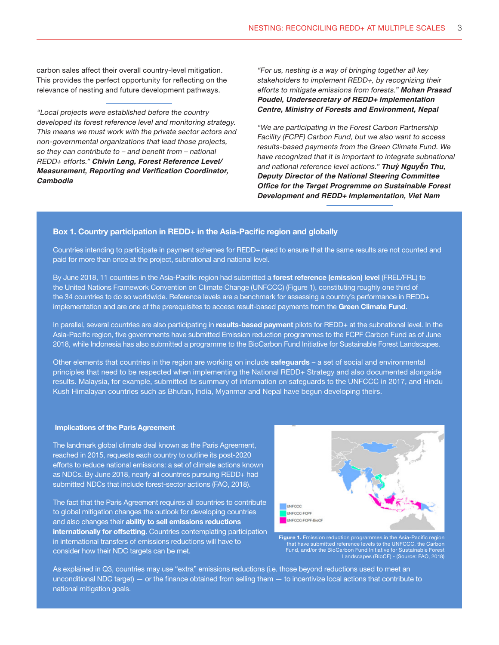carbon sales affect their overall country-level mitigation. This provides the perfect opportunity for reflecting on the relevance of nesting and future development pathways.

"Local projects were established before the country developed its forest reference level and monitoring strategy. This means we must work with the private sector actors and non-governmental organizations that lead those projects, so they can contribute to – and benefit from – national REDD+ efforts." *Chivin Leng, Forest Reference Level/* **Measurement, Reporting and Verification Coordinator,**  *Cambodia*

"For us, nesting is a way of bringing together all key stakeholders to implement REDD+, by recognizing their efforts to mitigate emissions from forests." *Mohan Prasad Poudel, Undersecretary of REDD+ Implementation Centre, Ministry of Forests and Environment, Nepal*

"We are participating in the Forest Carbon Partnership Facility (FCPF) Carbon Fund, but we also want to access results-based payments from the Green Climate Fund. We have recognized that it is important to integrate subnational and national reference level actions." **Thuỷ Nguyễn Thu,**  *Deputy Director of the National Steering Committee*  **Office for the Target Programme on Sustainable Forest**  *Development and REDD+ Implementation, Viet Nam*

#### Box 1. Country participation in REDD+ in the Asia-Pacific region and globally

Countries intending to participate in payment schemes for REDD+ need to ensure that the same results are not counted and paid for more than once at the project, subnational and national level.

By June 2018, 11 countries in the Asia-Pacific region had submitted a forest reference (emission) level (FREL/FRL) to the United Nations Framework Convention on Climate Change (UNFCCC) (Figure 1), constituting roughly one third of the 34 countries to do so worldwide. Reference levels are a benchmark for assessing a country's performance in REDD+ implementation and are one of the prerequisites to access result-based payments from the Green Climate Fund.

In parallel, several countries are also participating in results-based payment pilots for REDD+ at the subnational level. In the Asia-Pacific region, five governments have submitted Emission reduction programmes to the FCPF Carbon Fund as of June 2018, while Indonesia has also submitted a programme to the BioCarbon Fund Initiative for Sustainable Forest Landscapes.

Other elements that countries in the region are working on include safeguards - a set of social and environmental principles that need to be respected when implementing the National REDD+ Strategy and also documented alongside results. [Malaysia,](https://redd.unfccc.int/uploads/2_220_malaysia_redd_2B_sis.pdf) for example, submitted its summary of information on safeguards to the UNFCCC in 2017, and Hindu Kush Himalayan countries such as Bhutan, India, Myanmar and Nepal [have begun developing theirs.](http://lib.icimod.org/record/32698)

#### Implications of the Paris Agreement

The landmark global climate deal known as the Paris Agreement, reached in 2015, requests each country to outline its post-2020 efforts to reduce national emissions: a set of climate actions known as NDCs. By June 2018, nearly all countries pursuing REDD+ had submitted NDCs that include forest-sector actions (FAO, 2018).

The fact that the Paris Agreement requires all countries to contribute to global mitigation changes the outlook for developing countries and also changes their ability to sell emissions reductions internationally for offsetting. Countries contemplating participation in international transfers of emissions reductions will have to consider how their NDC targets can be met.



Figure 1. Emission reduction programmes in the Asia-Pacific region that have submitted reference levels to the UNFCCC, the Carbon Fund, and/or the BioCarbon Fund Initiative for Sustainable Forest Landscapes (BioCF) - (Source: FAO, 2018)

As explained in Q3, countries may use "extra" emissions reductions (i.e. those beyond reductions used to meet an unconditional NDC target) — or the finance obtained from selling them — to incentivize local actions that contribute to national mitigation goals.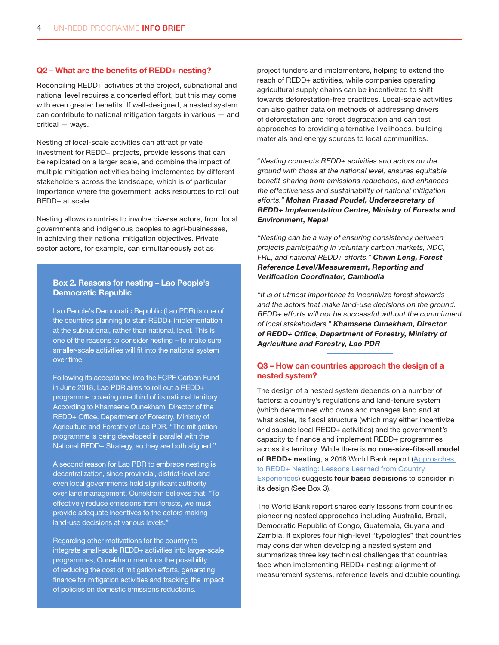#### Q2 – What are the benefits of REDD+ nesting?

Reconciling REDD+ activities at the project, subnational and national level requires a concerted effort, but this may come with even greater benefits. If well-designed, a nested system can contribute to national mitigation targets in various — and critical — ways.

Nesting of local-scale activities can attract private investment for REDD+ projects, provide lessons that can be replicated on a larger scale, and combine the impact of multiple mitigation activities being implemented by different stakeholders across the landscape, which is of particular importance where the government lacks resources to roll out REDD+ at scale.

Nesting allows countries to involve diverse actors, from local governments and indigenous peoples to agri-businesses, in achieving their national mitigation objectives. Private sector actors, for example, can simultaneously act as

### Box 2. Reasons for nesting – Lao People's Democratic Republic

Lao People's Democratic Republic (Lao PDR) is one of the countries planning to start REDD+ implementation at the subnational, rather than national, level. This is one of the reasons to consider nesting – to make sure smaller-scale activities will fit into the national system over time.

Following its acceptance into the FCPF Carbon Fund in June 2018, Lao PDR aims to roll out a REDD+ programme covering one third of its national territory. According to Khamsene Ounekham, Director of the REDD+ Office, Department of Forestry, Ministry of Agriculture and Forestry of Lao PDR, "The mitigation programme is being developed in parallel with the National REDD+ Strategy, so they are both aligned."

A second reason for Lao PDR to embrace nesting is decentralization, since provincial, district-level and even local governments hold significant authority over land management. Ounekham believes that: "To effectively reduce emissions from forests, we must provide adequate incentives to the actors making land-use decisions at various levels."

Regarding other motivations for the country to integrate small-scale REDD+ activities into larger-scale programmes, Ounekham mentions the possibility of reducing the cost of mitigation efforts, generating finance for mitigation activities and tracking the impact of policies on domestic emissions reductions.

project funders and implementers, helping to extend the reach of REDD+ activities, while companies operating agricultural supply chains can be incentivized to shift towards deforestation-free practices. Local-scale activities can also gather data on methods of addressing drivers of deforestation and forest degradation and can test approaches to providing alternative livelihoods, building materials and energy sources to local communities.

"Nesting connects REDD+ activities and actors on the ground with those at the national level, ensures equitable benefit-sharing from emissions reductions, and enhances the effectiveness and sustainability of national mitigation efforts." Mohan Prasad Poudel, Undersecretary of REDD+ Implementation Centre, Ministry of Forests and Environment, Nepal

"Nesting can be a way of ensuring consistency between projects participating in voluntary carbon markets, NDC, FRL, and national REDD+ efforts." Chivin Leng, Forest Reference Level/Measurement, Reporting and Verification Coordinator, Cambodia

"It is of utmost importance to incentivize forest stewards and the actors that make land-use decisions on the ground. REDD+ efforts will not be successful without the commitment of local stakeholders." Khamsene Ounekham, Director of REDD+ Office, Department of Forestry, Ministry of Agriculture and Forestry, Lao PDR

### Q3 – How can countries approach the design of a nested system?

The design of a nested system depends on a number of factors: a country's regulations and land-tenure system (which determines who owns and manages land and at what scale), its fiscal structure (which may either incentivize or dissuade local REDD+ activities) and the government's capacity to finance and implement REDD+ programmes across its territory. While there is no one-size-fits-all model of REDD+ nesting, a 2018 World Bank report (Approaches to REDD+ Nesting: Lessons Learned from Country **[Experiences](http://documents.worldbank.org/curated/en/670171523647847532/pdf/Approaches-to-REDD-Nesting-Lessons-Learned-from-Country-Experiences.pdf))** suggests four basic decisions to consider in its design (See Box 3).

The World Bank report shares early lessons from countries pioneering nested approaches including Australia, Brazil, Democratic Republic of Congo, Guatemala, Guyana and Zambia. It explores four high-level "typologies" that countries may consider when developing a nested system and summarizes three key technical challenges that countries face when implementing REDD+ nesting: alignment of measurement systems, reference levels and double counting.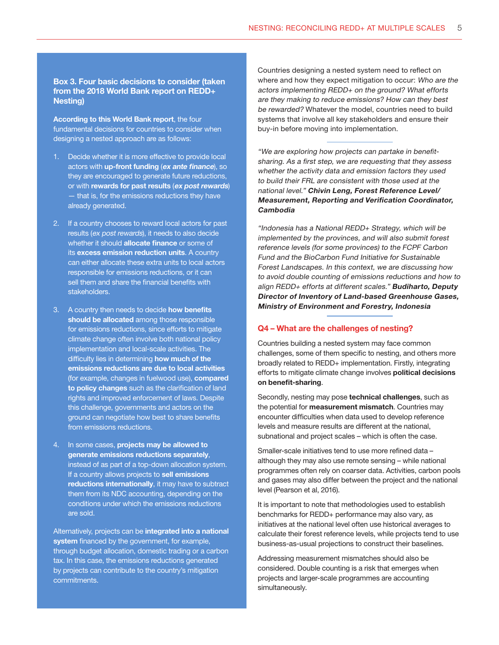#### Box 3. Four basic decisions to consider (taken from the 2018 World Bank report on REDD+ Nesting)

According to this World Bank report, the four fundamental decisions for countries to consider when designing a nested approach are as follows:

- 1. Decide whether it is more effective to provide local actors with up-front funding (ex ante finance), so they are encouraged to generate future reductions, or with rewards for past results (ex post rewards) — that is, for the emissions reductions they have already generated.
- 2. If a country chooses to reward local actors for past results (ex post rewards), it needs to also decide whether it should **allocate finance** or some of its excess emission reduction units. A country can either allocate these extra units to local actors responsible for emissions reductions, or it can sell them and share the financial benefits with stakeholders.
- 3. A country then needs to decide how benefits should be allocated among those responsible for emissions reductions, since efforts to mitigate climate change often involve both national policy implementation and local-scale activities. The difficulty lies in determining how much of the emissions reductions are due to local activities (for example, changes in fuelwood use), compared to policy changes such as the clarification of land rights and improved enforcement of laws. Despite this challenge, governments and actors on the ground can negotiate how best to share benefits from emissions reductions.
- 4. In some cases, **projects may be allowed to** generate emissions reductions separately, instead of as part of a top-down allocation system. If a country allows projects to sell emissions reductions internationally, it may have to subtract them from its NDC accounting, depending on the conditions under which the emissions reductions are sold.

Alternatively, projects can be integrated into a national system financed by the government, for example, through budget allocation, domestic trading or a carbon tax. In this case, the emissions reductions generated by projects can contribute to the country's mitigation commitments.

Countries designing a nested system need to reflect on where and how they expect mitigation to occur: Who are the actors implementing REDD+ on the ground? What efforts are they making to reduce emissions? How can they best be rewarded? Whatever the model, countries need to build systems that involve all key stakeholders and ensure their buy-in before moving into implementation.

"We are exploring how projects can partake in benefitsharing. As a first step, we are requesting that they assess whether the activity data and emission factors they used to build their FRL are consistent with those used at the national level." Chivin Leng, Forest Reference Level/ Measurement, Reporting and Verification Coordinator, Cambodia

"Indonesia has a National REDD+ Strategy, which will be implemented by the provinces, and will also submit forest reference levels (for some provinces) to the FCPF Carbon Fund and the BioCarbon Fund Initiative for Sustainable Forest Landscapes. In this context, we are discussing how to avoid double counting of emissions reductions and how to align REDD+ efforts at different scales." Budiharto, Deputy Director of Inventory of Land-based Greenhouse Gases, Ministry of Environment and Forestry, Indonesia

#### Q4 – What are the challenges of nesting?

Countries building a nested system may face common challenges, some of them specific to nesting, and others more broadly related to REDD+ implementation. Firstly, integrating efforts to mitigate climate change involves political decisions on benefit-sharing.

Secondly, nesting may pose technical challenges, such as the potential for **measurement mismatch**. Countries may encounter difficulties when data used to develop reference levels and measure results are different at the national, subnational and project scales – which is often the case.

Smaller-scale initiatives tend to use more refined data – although they may also use remote sensing – while national programmes often rely on coarser data. Activities, carbon pools and gases may also differ between the project and the national level (Pearson et al, 2016).

It is important to note that methodologies used to establish benchmarks for REDD+ performance may also vary, as initiatives at the national level often use historical averages to calculate their forest reference levels, while projects tend to use business-as-usual projections to construct their baselines.

Addressing measurement mismatches should also be considered. Double counting is a risk that emerges when projects and larger-scale programmes are accounting simultaneously.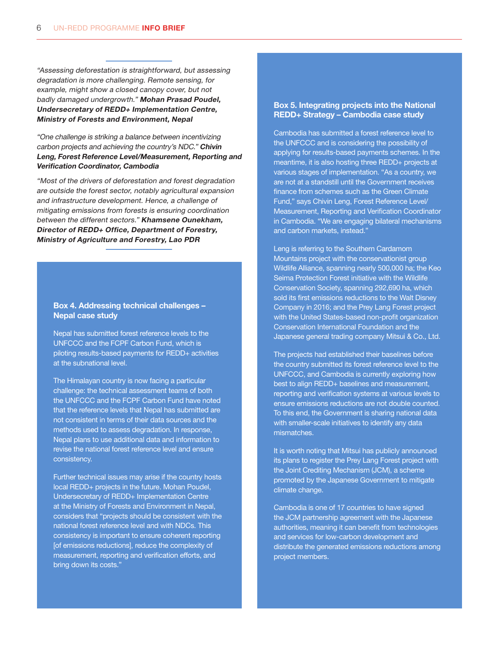"Assessing deforestation is straightforward, but assessing degradation is more challenging. Remote sensing, for example, might show a closed canopy cover, but not badly damaged undergrowth." Mohan Prasad Poudel, Undersecretary of REDD+ Implementation Centre, Ministry of Forests and Environment, Nepal

"One challenge is striking a balance between incentivizing carbon projects and achieving the country's NDC." Chivin Leng, Forest Reference Level/Measurement, Reporting and Verification Coordinator, Cambodia

"Most of the drivers of deforestation and forest degradation are outside the forest sector, notably agricultural expansion and infrastructure development. Hence, a challenge of mitigating emissions from forests is ensuring coordination between the different sectors." Khamsene Ounekham, Director of REDD+ Office, Department of Forestry, Ministry of Agriculture and Forestry, Lao PDR

### Box 4. Addressing technical challenges – Nepal case study

Nepal has submitted forest reference levels to the UNFCCC and the FCPF Carbon Fund, which is piloting results-based payments for REDD+ activities at the subnational level.

The Himalayan country is now facing a particular challenge: the technical assessment teams of both the UNFCCC and the FCPF Carbon Fund have noted that the reference levels that Nepal has submitted are not consistent in terms of their data sources and the methods used to assess degradation. In response, Nepal plans to use additional data and information to revise the national forest reference level and ensure consistency.

Further technical issues may arise if the country hosts local REDD+ projects in the future. Mohan Poudel, Undersecretary of REDD+ Implementation Centre at the Ministry of Forests and Environment in Nepal, considers that "projects should be consistent with the national forest reference level and with NDCs. This consistency is important to ensure coherent reporting [of emissions reductions], reduce the complexity of measurement, reporting and verification efforts, and bring down its costs."

#### Box 5. Integrating projects into the National REDD+ Strategy – Cambodia case study

Cambodia has submitted a forest reference level to the UNFCCC and is considering the possibility of applying for results-based payments schemes. In the meantime, it is also hosting three REDD+ projects at various stages of implementation. "As a country, we are not at a standstill until the Government receives finance from schemes such as the Green Climate Fund," says Chivin Leng, Forest Reference Level/ Measurement, Reporting and Verification Coordinator in Cambodia. "We are engaging bilateral mechanisms and carbon markets, instead."

Leng is referring to the Southern Cardamom Mountains project with the conservationist group Wildlife Alliance, spanning nearly 500,000 ha; the Keo Seima Protection Forest initiative with the Wildlife Conservation Society, spanning 292,690 ha, which sold its first emissions reductions to the Walt Disney Company in 2016; and the Prey Lang Forest project with the United States-based non-profit organization Conservation International Foundation and the Japanese general trading company Mitsui & Co., Ltd.

The projects had established their baselines before the country submitted its forest reference level to the UNFCCC, and Cambodia is currently exploring how best to align REDD+ baselines and measurement, reporting and verification systems at various levels to ensure emissions reductions are not double counted. To this end, the Government is sharing national data with smaller-scale initiatives to identify any data mismatches.

It is worth noting that Mitsui has publicly announced its plans to register the Prey Lang Forest project with the Joint Crediting Mechanism (JCM), a scheme promoted by the Japanese Government to mitigate climate change.

Cambodia is one of 17 countries to have signed the JCM partnership agreement with the Japanese authorities, meaning it can benefit from technologies and services for low-carbon development and distribute the generated emissions reductions among project members.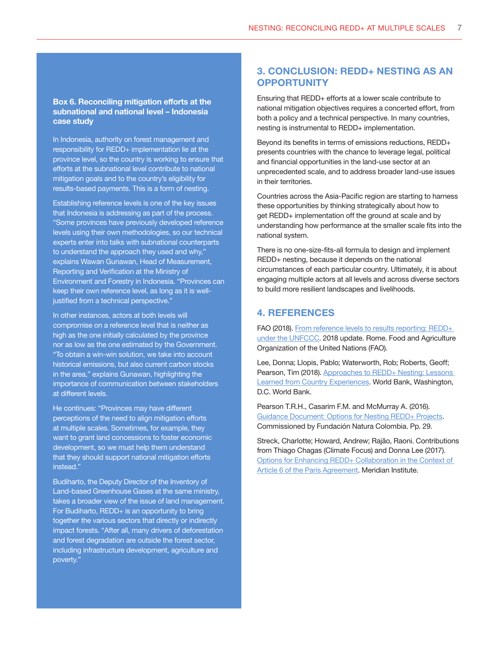### Box 6. Reconciling mitigation efforts at the subnational and national level – Indonesia case study

In Indonesia, authority on forest management and responsibility for REDD+ implementation lie at the province level, so the country is working to ensure that efforts at the subnational level contribute to national mitigation goals and to the country's eligibility for results-based payments. This is a form of nesting.

Establishing reference levels is one of the key issues that Indonesia is addressing as part of the process. "Some provinces have previously developed reference levels using their own methodologies, so our technical experts enter into talks with subnational counterparts to understand the approach they used and why," explains Wawan Gunawan, Head of Measurement, Reporting and Verification at the Ministry of Environment and Forestry in Indonesia. "Provinces can keep their own reference level, as long as it is welljustified from a technical perspective.'

In other instances, actors at both levels will compromise on a reference level that is neither as high as the one initially calculated by the province nor as low as the one estimated by the Government. "To obtain a win-win solution, we take into account historical emissions, but also current carbon stocks in the area," explains Gunawan, highlighting the importance of communication between stakeholders at different levels.

He continues: "Provinces may have different perceptions of the need to align mitigation efforts at multiple scales. Sometimes, for example, they want to grant land concessions to foster economic development, so we must help them understand that they should support national mitigation efforts instead."

Budiharto, the Deputy Director of the Inventory of Land-based Greenhouse Gases at the same ministry, takes a broader view of the issue of land management. For Budiharto, REDD+ is an opportunity to bring together the various sectors that directly or indirectly impact forests. "After all, many drivers of deforestation and forest degradation are outside the forest sector, including infrastructure development, agriculture and poverty."

## 3. CONCLUSION: REDD+ NESTING AS AN **OPPORTUNITY**

Ensuring that REDD+ efforts at a lower scale contribute to national mitigation objectives requires a concerted effort, from both a policy and a technical perspective. In many countries, nesting is instrumental to REDD+ implementation.

Beyond its benefits in terms of emissions reductions, REDD+ presents countries with the chance to leverage legal, political and financial opportunities in the land-use sector at an unprecedented scale, and to address broader land-use issues in their territories.

Countries across the Asia-Pacific region are starting to harness these opportunities by thinking strategically about how to get REDD+ implementation off the ground at scale and by understanding how performance at the smaller scale fits into the national system.

There is no one-size-fits-all formula to design and implement REDD+ nesting, because it depends on the national circumstances of each particular country. Ultimately, it is about engaging multiple actors at all levels and across diverse sectors to build more resilient landscapes and livelihoods.

## 4. REFERENCES

FAO (2018). [From reference levels to results reporting: REDD+](http://www.fao.org/3/CA0176EN/ca0176en.pdf)  [under the UNFCCC.](http://www.fao.org/3/CA0176EN/ca0176en.pdf) 2018 update. Rome. Food and Agriculture Organization of the United Nations (FAO).

Lee, Donna; Llopis, Pablo; Waterworth, Rob; Roberts, Geoff; Pearson, Tim (2018). Approaches to REDD+ Nesting: Lessons [Learned from Country Experiences.](http://documents.worldbank.org/curated/en/670171523647847532/pdf/Approaches-to-REDD-Nesting-Lessons-Learned-from-Country-Experiences.pdf) World Bank, Washington, D.C. World Bank.

Pearson T.R.H., Casarim F.M. and McMurray A. (2016). [Guidance Document: Options for Nesting REDD+ Projects](http://verra.org/wp-content/uploads/2016/07/Nesting-Options-1-Jul_Eng_final.pdf). Commissioned by Fundación Natura Colombia. Pp. 29.

Streck, Charlotte; Howard, Andrew; Rajão, Raoni. Contributions from Thiago Chagas (Climate Focus) and Donna Lee (2017). [Options for Enhancing REDD+ Collaboration in the Context of](https://climatefocus.com/publications/options-enhancing-redd-collaboration-context-article-6-paris-agreement)  [Article 6 of the Paris Agreement](https://climatefocus.com/publications/options-enhancing-redd-collaboration-context-article-6-paris-agreement). Meridian Institute.